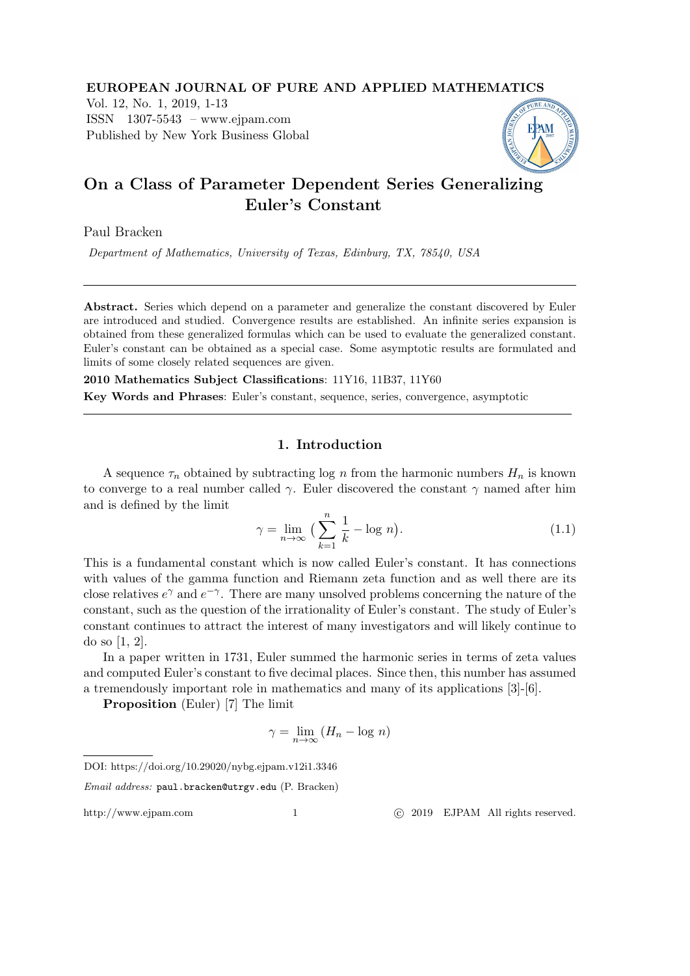EUROPEAN JOURNAL OF PURE AND APPLIED MATHEMATICS Vol. 12, No. 1, 2019, 1-13 ISSN 1307-5543 – www.ejpam.com Published by New York Business Global

# On a Class of Parameter Dependent Series Generalizing Euler's Constant

Paul Bracken

Department of Mathematics, University of Texas, Edinburg, TX, 78540, USA

Abstract. Series which depend on a parameter and generalize the constant discovered by Euler are introduced and studied. Convergence results are established. An infinite series expansion is obtained from these generalized formulas which can be used to evaluate the generalized constant. Euler's constant can be obtained as a special case. Some asymptotic results are formulated and limits of some closely related sequences are given.

2010 Mathematics Subject Classifications: 11Y16, 11B37, 11Y60

Key Words and Phrases: Euler's constant, sequence, series, convergence, asymptotic

## 1. Introduction

A sequence  $\tau_n$  obtained by subtracting log n from the harmonic numbers  $H_n$  is known to converge to a real number called  $\gamma$ . Euler discovered the constant  $\gamma$  named after him and is defined by the limit

$$
\gamma = \lim_{n \to \infty} \left( \sum_{k=1}^{n} \frac{1}{k} - \log n \right). \tag{1.1}
$$

This is a fundamental constant which is now called Euler's constant. It has connections with values of the gamma function and Riemann zeta function and as well there are its close relatives  $e^{\gamma}$  and  $e^{-\gamma}$ . There are many unsolved problems concerning the nature of the constant, such as the question of the irrationality of Euler's constant. The study of Euler's constant continues to attract the interest of many investigators and will likely continue to do so [1, 2].

In a paper written in 1731, Euler summed the harmonic series in terms of zeta values and computed Euler's constant to five decimal places. Since then, this number has assumed a tremendously important role in mathematics and many of its applications [3]-[6].

Proposition (Euler) [7] The limit

$$
\gamma = \lim_{n \to \infty} (H_n - \log n)
$$

http://www.ejpam.com 1 
c 2019 EJPAM All rights reserved.

DOI: https://doi.org/10.29020/nybg.ejpam.v12i1.3346

Email address: paul.bracken@utrgv.edu (P. Bracken)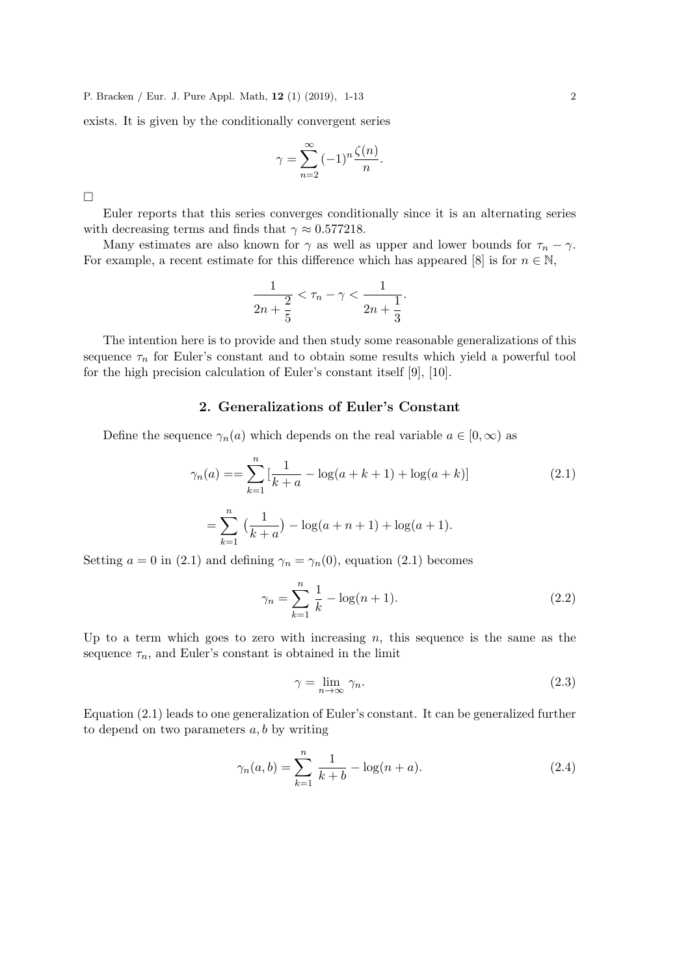exists. It is given by the conditionally convergent series

$$
\gamma = \sum_{n=2}^{\infty} (-1)^n \frac{\zeta(n)}{n}.
$$

 $\Box$ 

Euler reports that this series converges conditionally since it is an alternating series with decreasing terms and finds that  $\gamma \approx 0.577218$ .

Many estimates are also known for  $\gamma$  as well as upper and lower bounds for  $\tau_n - \gamma$ . For example, a recent estimate for this difference which has appeared [8] is for  $n \in \mathbb{N}$ ,

$$
\frac{1}{2n+\frac{2}{5}} < \tau_n - \gamma < \frac{1}{2n+\frac{1}{3}}.
$$

The intention here is to provide and then study some reasonable generalizations of this sequence  $\tau_n$  for Euler's constant and to obtain some results which yield a powerful tool for the high precision calculation of Euler's constant itself [9], [10].

### 2. Generalizations of Euler's Constant

Define the sequence  $\gamma_n(a)$  which depends on the real variable  $a \in [0, \infty)$  as

$$
\gamma_n(a) = \sum_{k=1}^n \left[ \frac{1}{k+a} - \log(a+k+1) + \log(a+k) \right]
$$
\n
$$
= \sum_{k=1}^n \left( \frac{1}{k+a} \right) - \log(a+n+1) + \log(a+1).
$$
\n(2.1)

Setting  $a = 0$  in (2.1) and defining  $\gamma_n = \gamma_n(0)$ , equation (2.1) becomes

$$
\gamma_n = \sum_{k=1}^n \frac{1}{k} - \log(n+1). \tag{2.2}
$$

Up to a term which goes to zero with increasing  $n$ , this sequence is the same as the sequence  $\tau_n$ , and Euler's constant is obtained in the limit

$$
\gamma = \lim_{n \to \infty} \gamma_n. \tag{2.3}
$$

Equation (2.1) leads to one generalization of Euler's constant. It can be generalized further to depend on two parameters  $a, b$  by writing

$$
\gamma_n(a,b) = \sum_{k=1}^n \frac{1}{k+b} - \log(n+a). \tag{2.4}
$$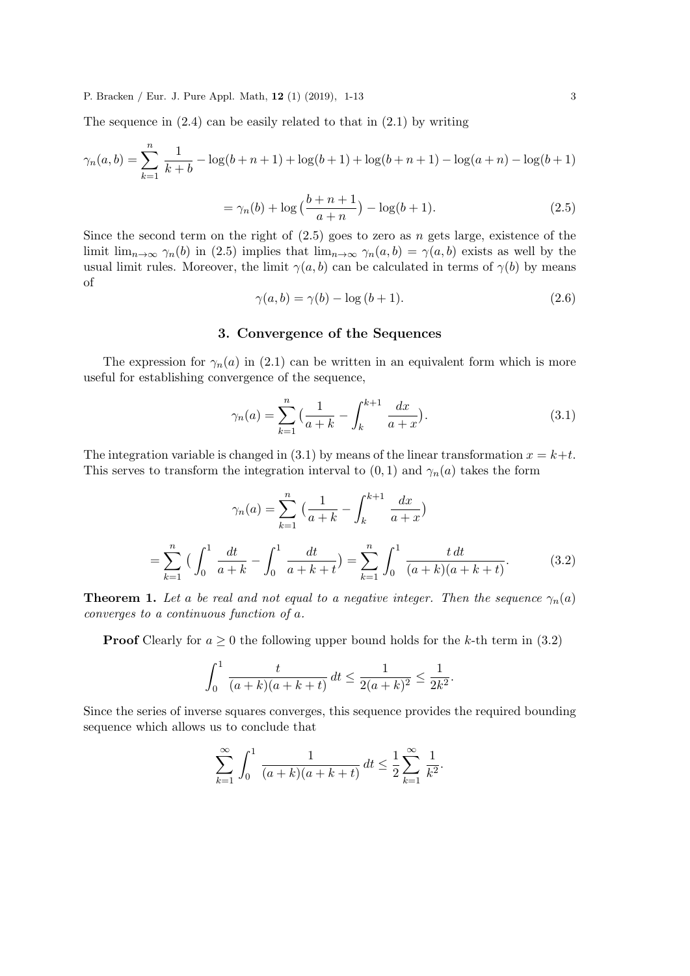The sequence in  $(2.4)$  can be easily related to that in  $(2.1)$  by writing

$$
\gamma_n(a,b) = \sum_{k=1}^n \frac{1}{k+b} - \log(b+n+1) + \log(b+1) + \log(b+n+1) - \log(a+n) - \log(b+1)
$$

$$
= \gamma_n(b) + \log\left(\frac{b+n+1}{a+n}\right) - \log(b+1). \tag{2.5}
$$

Since the second term on the right of  $(2.5)$  goes to zero as n gets large, existence of the limit  $\lim_{n\to\infty} \gamma_n(b)$  in (2.5) implies that  $\lim_{n\to\infty} \gamma_n(a,b) = \gamma(a,b)$  exists as well by the usual limit rules. Moreover, the limit  $\gamma(a, b)$  can be calculated in terms of  $\gamma(b)$  by means of

 $\gamma(a, b) = \gamma(b) - \log(b + 1).$  (2.6)

## 3. Convergence of the Sequences

The expression for  $\gamma_n(a)$  in (2.1) can be written in an equivalent form which is more useful for establishing convergence of the sequence,

$$
\gamma_n(a) = \sum_{k=1}^n \left( \frac{1}{a+k} - \int_k^{k+1} \frac{dx}{a+x} \right).
$$
 (3.1)

The integration variable is changed in (3.1) by means of the linear transformation  $x = k+t$ . This serves to transform the integration interval to  $(0, 1)$  and  $\gamma_n(a)$  takes the form

$$
\gamma_n(a) = \sum_{k=1}^n \left( \frac{1}{a+k} - \int_k^{k+1} \frac{dx}{a+x} \right)
$$

$$
= \sum_{k=1}^n \left( \int_0^1 \frac{dt}{a+k} - \int_0^1 \frac{dt}{a+k+t} \right) = \sum_{k=1}^n \int_0^1 \frac{t \, dt}{(a+k)(a+k+t)}.
$$
(3.2)

**Theorem 1.** Let a be real and not equal to a negative integer. Then the sequence  $\gamma_n(a)$ converges to a continuous function of a.

**Proof** Clearly for  $a \ge 0$  the following upper bound holds for the k-th term in (3.2)

$$
\int_0^1 \frac{t}{(a+k)(a+k+t)} dt \le \frac{1}{2(a+k)^2} \le \frac{1}{2k^2}.
$$

Since the series of inverse squares converges, this sequence provides the required bounding sequence which allows us to conclude that

$$
\sum_{k=1}^{\infty} \int_0^1 \frac{1}{(a+k)(a+k+t)} dt \le \frac{1}{2} \sum_{k=1}^{\infty} \frac{1}{k^2}.
$$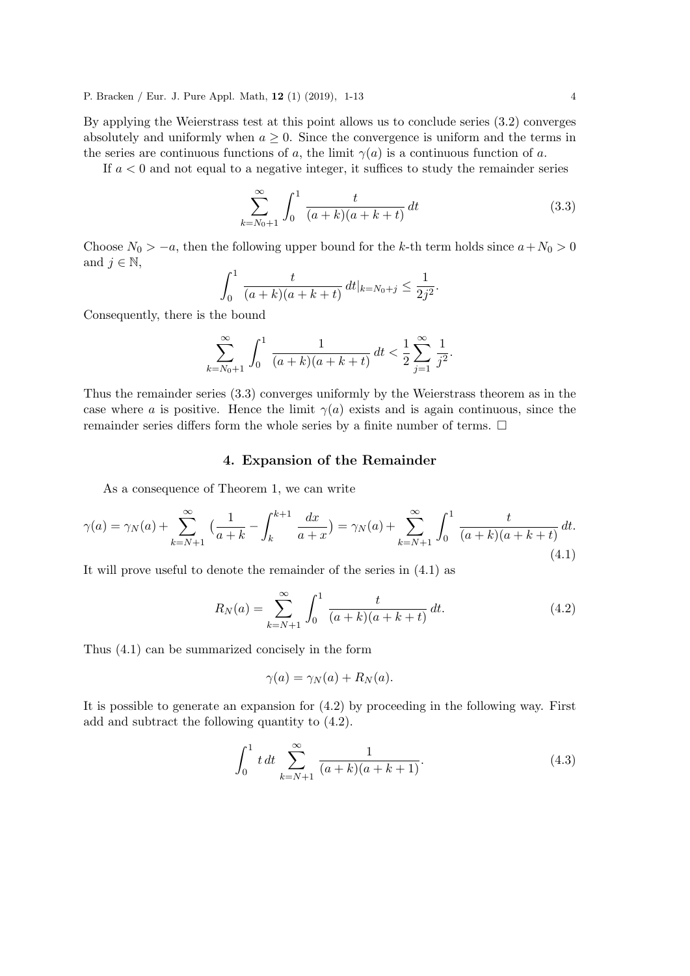By applying the Weierstrass test at this point allows us to conclude series (3.2) converges absolutely and uniformly when  $a \geq 0$ . Since the convergence is uniform and the terms in the series are continuous functions of a, the limit  $\gamma(a)$  is a continuous function of a.

If  $a < 0$  and not equal to a negative integer, it suffices to study the remainder series

$$
\sum_{k=N_0+1}^{\infty} \int_0^1 \frac{t}{(a+k)(a+k+t)} dt
$$
 (3.3)

Choose  $N_0 > -a$ , then the following upper bound for the k-th term holds since  $a + N_0 > 0$ and  $j \in \mathbb{N}$ ,

$$
\int_0^1 \frac{t}{(a+k)(a+k+t)} dt |_{k=N_0+j} \leq \frac{1}{2j^2}.
$$

Consequently, there is the bound

$$
\sum_{k=N_0+1}^{\infty} \int_0^1 \frac{1}{(a+k)(a+k+t)} dt < \frac{1}{2} \sum_{j=1}^{\infty} \frac{1}{j^2}.
$$

Thus the remainder series (3.3) converges uniformly by the Weierstrass theorem as in the case where a is positive. Hence the limit  $\gamma(a)$  exists and is again continuous, since the remainder series differs form the whole series by a finite number of terms.  $\Box$ 

### 4. Expansion of the Remainder

As a consequence of Theorem 1, we can write

$$
\gamma(a) = \gamma_N(a) + \sum_{k=N+1}^{\infty} \left( \frac{1}{a+k} - \int_k^{k+1} \frac{dx}{a+x} \right) = \gamma_N(a) + \sum_{k=N+1}^{\infty} \int_0^1 \frac{t}{(a+k)(a+k+t)} dt.
$$
\n(4.1)

It will prove useful to denote the remainder of the series in (4.1) as

$$
R_N(a) = \sum_{k=N+1}^{\infty} \int_0^1 \frac{t}{(a+k)(a+k+t)} dt.
$$
 (4.2)

Thus (4.1) can be summarized concisely in the form

$$
\gamma(a) = \gamma_N(a) + R_N(a).
$$

It is possible to generate an expansion for (4.2) by proceeding in the following way. First add and subtract the following quantity to (4.2).

$$
\int_0^1 t \, dt \sum_{k=N+1}^\infty \frac{1}{(a+k)(a+k+1)}.\tag{4.3}
$$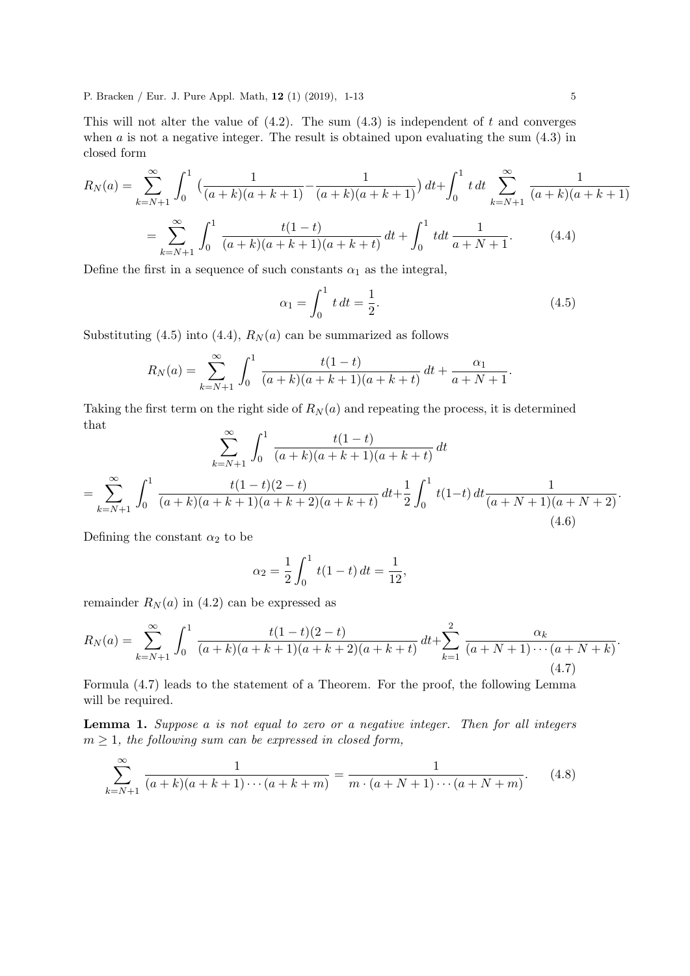This will not alter the value of  $(4.2)$ . The sum  $(4.3)$  is independent of t and converges when  $a$  is not a negative integer. The result is obtained upon evaluating the sum  $(4.3)$  in closed form

$$
R_N(a) = \sum_{k=N+1}^{\infty} \int_0^1 \left( \frac{1}{(a+k)(a+k+1)} - \frac{1}{(a+k)(a+k+1)} \right) dt + \int_0^1 t \, dt \sum_{k=N+1}^{\infty} \frac{1}{(a+k)(a+k+1)}
$$

$$
= \sum_{k=N+1}^{\infty} \int_0^1 \frac{t(1-t)}{(a+k)(a+k+1)(a+k+t)} \, dt + \int_0^1 t \, dt \frac{1}{a+N+1}.\tag{4.4}
$$

Define the first in a sequence of such constants  $\alpha_1$  as the integral,

$$
\alpha_1 = \int_0^1 t \, dt = \frac{1}{2}.\tag{4.5}
$$

Substituting (4.5) into (4.4),  $R_N(a)$  can be summarized as follows

$$
R_N(a) = \sum_{k=N+1}^{\infty} \int_0^1 \frac{t(1-t)}{(a+k)(a+k+1)(a+k+t)} dt + \frac{\alpha_1}{a+N+1}.
$$

Taking the first term on the right side of  $R_N(a)$  and repeating the process, it is determined that

$$
\sum_{k=N+1}^{\infty} \int_0^1 \frac{t(1-t)}{(a+k)(a+k+1)(a+k+t)} dt
$$
  
= 
$$
\sum_{k=N+1}^{\infty} \int_0^1 \frac{t(1-t)(2-t)}{(a+k)(a+k+1)(a+k+2)(a+k+t)} dt + \frac{1}{2} \int_0^1 t(1-t) dt \frac{1}{(a+N+1)(a+N+2)}.
$$
  
(4.6)

Defining the constant  $\alpha_2$  to be

$$
\alpha_2 = \frac{1}{2} \int_0^1 t(1-t) \, dt = \frac{1}{12},
$$

remainder  $R_N(a)$  in (4.2) can be expressed as

$$
R_N(a) = \sum_{k=N+1}^{\infty} \int_0^1 \frac{t(1-t)(2-t)}{(a+k)(a+k+1)(a+k+2)(a+k+t)} dt + \sum_{k=1}^2 \frac{\alpha_k}{(a+N+1)\cdots(a+N+k)}.
$$
\n(4.7)

Formula (4.7) leads to the statement of a Theorem. For the proof, the following Lemma will be required.

Lemma 1. Suppose a is not equal to zero or a negative integer. Then for all integers  $m \geq 1$ , the following sum can be expressed in closed form,

$$
\sum_{k=N+1}^{\infty} \frac{1}{(a+k)(a+k+1)\cdots(a+k+m)} = \frac{1}{m\cdot(a+N+1)\cdots(a+N+m)}.
$$
 (4.8)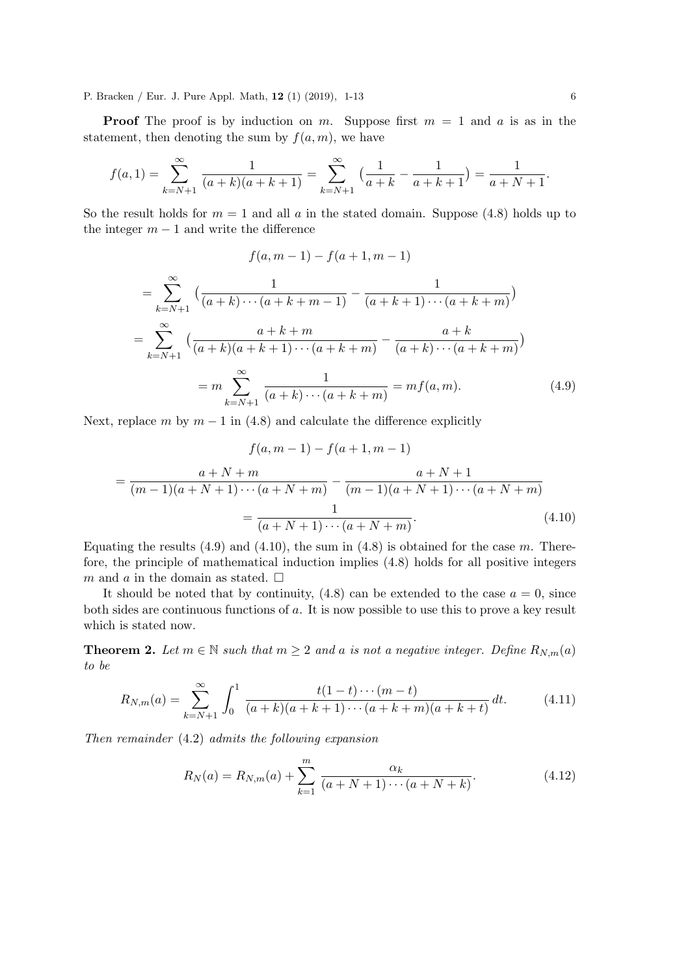**Proof** The proof is by induction on m. Suppose first  $m = 1$  and a is as in the statement, then denoting the sum by  $f(a, m)$ , we have

$$
f(a,1) = \sum_{k=N+1}^{\infty} \frac{1}{(a+k)(a+k+1)} = \sum_{k=N+1}^{\infty} \left(\frac{1}{a+k} - \frac{1}{a+k+1}\right) = \frac{1}{a+N+1}.
$$

So the result holds for  $m = 1$  and all a in the stated domain. Suppose (4.8) holds up to the integer  $m - 1$  and write the difference

$$
f(a, m-1) - f(a+1, m-1)
$$

$$
= \sum_{k=N+1}^{\infty} \left( \frac{1}{(a+k)\cdots(a+k+m-1)} - \frac{1}{(a+k+1)\cdots(a+k+m)} \right)
$$
  

$$
= \sum_{k=N+1}^{\infty} \left( \frac{a+k+m}{(a+k)(a+k+1)\cdots(a+k+m)} - \frac{a+k}{(a+k)\cdots(a+k+m)} \right)
$$
  

$$
= m \sum_{k=N+1}^{\infty} \frac{1}{(a+k)\cdots(a+k+m)} = mf(a,m). \tag{4.9}
$$

Next, replace m by  $m - 1$  in (4.8) and calculate the difference explicitly

$$
f(a, m-1) - f(a+1, m-1)
$$
  
= 
$$
\frac{a+N+m}{(m-1)(a+N+1)\cdots(a+N+m)} - \frac{a+N+1}{(m-1)(a+N+1)\cdots(a+N+m)}
$$
  
= 
$$
\frac{1}{(a+N+1)\cdots(a+N+m)}.
$$
 (4.10)

Equating the results  $(4.9)$  and  $(4.10)$ , the sum in  $(4.8)$  is obtained for the case m. Therefore, the principle of mathematical induction implies (4.8) holds for all positive integers m and a in the domain as stated.  $\square$ 

It should be noted that by continuity,  $(4.8)$  can be extended to the case  $a = 0$ , since both sides are continuous functions of a. It is now possible to use this to prove a key result which is stated now.

**Theorem 2.** Let  $m \in \mathbb{N}$  such that  $m \geq 2$  and a is not a negative integer. Define  $R_{N,m}(a)$ to be

$$
R_{N,m}(a) = \sum_{k=N+1}^{\infty} \int_0^1 \frac{t(1-t)\cdots(m-t)}{(a+k)(a+k+1)\cdots(a+k+m)(a+k+t)} dt.
$$
 (4.11)

Then remainder (4.2) admits the following expansion

$$
R_N(a) = R_{N,m}(a) + \sum_{k=1}^{m} \frac{\alpha_k}{(a+N+1)\cdots(a+N+k)}.
$$
 (4.12)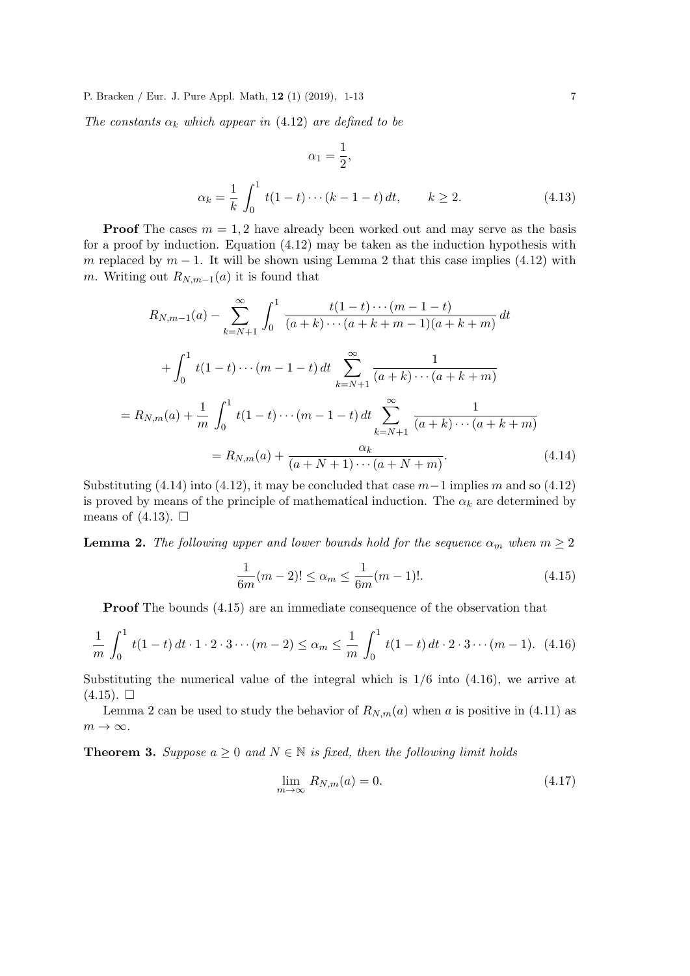The constants  $\alpha_k$  which appear in (4.12) are defined to be

$$
\alpha_1 = \frac{1}{2},
$$
  
\n
$$
\alpha_k = \frac{1}{k} \int_0^1 t(1-t) \cdots (k-1-t) dt, \qquad k \ge 2.
$$
\n(4.13)

**Proof** The cases  $m = 1, 2$  have already been worked out and may serve as the basis for a proof by induction. Equation (4.12) may be taken as the induction hypothesis with m replaced by  $m-1$ . It will be shown using Lemma 2 that this case implies (4.12) with m. Writing out  $R_{N,m-1}(a)$  it is found that

$$
R_{N,m-1}(a) - \sum_{k=N+1}^{\infty} \int_0^1 \frac{t(1-t)\cdots(m-1-t)}{(a+k)\cdots(a+k+m-1)(a+k+m)} dt
$$
  
+ 
$$
\int_0^1 t(1-t)\cdots(m-1-t) dt \sum_{k=N+1}^{\infty} \frac{1}{(a+k)\cdots(a+k+m)}
$$
  
= 
$$
R_{N,m}(a) + \frac{1}{m} \int_0^1 t(1-t)\cdots(m-1-t) dt \sum_{k=N+1}^{\infty} \frac{1}{(a+k)\cdots(a+k+m)}
$$
  
= 
$$
R_{N,m}(a) + \frac{\alpha_k}{(a+N+1)\cdots(a+N+m)}.
$$
 (4.14)

Substituting (4.14) into (4.12), it may be concluded that case  $m-1$  implies m and so (4.12) is proved by means of the principle of mathematical induction. The  $\alpha_k$  are determined by means of  $(4.13)$ .  $\Box$ 

**Lemma 2.** The following upper and lower bounds hold for the sequence  $\alpha_m$  when  $m \geq 2$ 

$$
\frac{1}{6m}(m-2)! \le \alpha_m \le \frac{1}{6m}(m-1)!. \tag{4.15}
$$

Proof The bounds (4.15) are an immediate consequence of the observation that

$$
\frac{1}{m} \int_0^1 t(1-t) dt \cdot 1 \cdot 2 \cdot 3 \cdots (m-2) \le \alpha_m \le \frac{1}{m} \int_0^1 t(1-t) dt \cdot 2 \cdot 3 \cdots (m-1). \tag{4.16}
$$

Substituting the numerical value of the integral which is  $1/6$  into  $(4.16)$ , we arrive at  $(4.15)$ .  $\Box$ 

Lemma 2 can be used to study the behavior of  $R_{N,m}(a)$  when a is positive in (4.11) as  $m \to \infty$ .

**Theorem 3.** Suppose  $a \geq 0$  and  $N \in \mathbb{N}$  is fixed, then the following limit holds

$$
\lim_{m \to \infty} R_{N,m}(a) = 0. \tag{4.17}
$$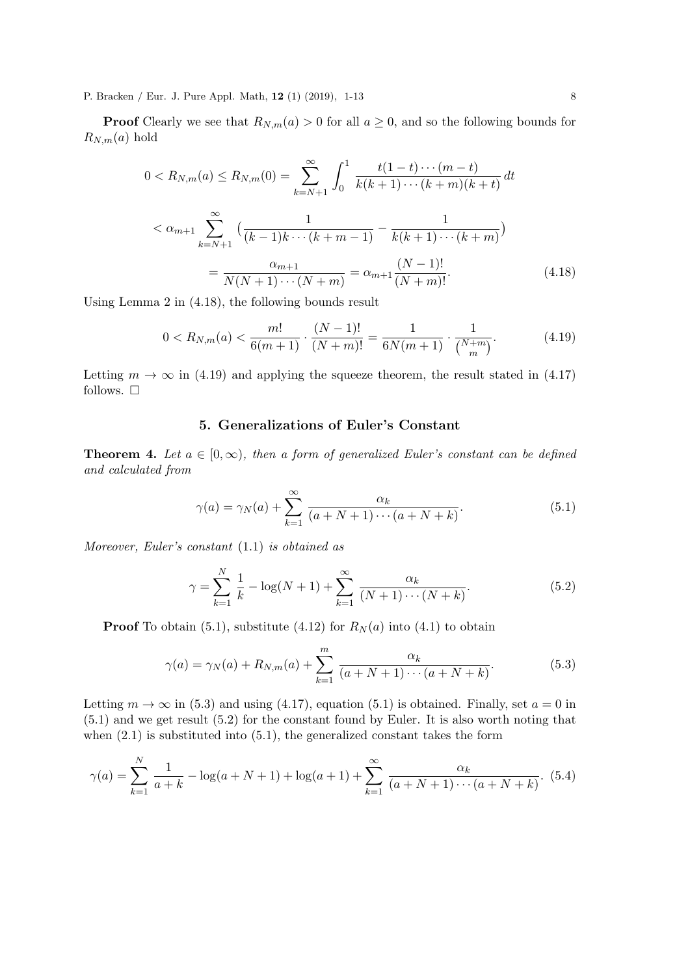**Proof** Clearly we see that  $R_{N,m}(a) > 0$  for all  $a \geq 0$ , and so the following bounds for  $R_{N,m}(a)$  hold

$$
0 < R_{N,m}(a) \le R_{N,m}(0) = \sum_{k=N+1}^{\infty} \int_0^1 \frac{t(1-t)\cdots(m-t)}{k(k+1)\cdots(k+m)(k+t)} dt
$$
\n
$$
\le \alpha_{m+1} \sum_{k=N+1}^{\infty} \left(\frac{1}{(k-1)k\cdots(k+m-1)} - \frac{1}{k(k+1)\cdots(k+m)}\right)
$$
\n
$$
= \frac{\alpha_{m+1}}{N(N+1)\cdots(N+m)} = \alpha_{m+1} \frac{(N-1)!}{(N+m)!}.
$$
\n(4.18)

Using Lemma 2 in (4.18), the following bounds result

$$
0 < R_{N,m}(a) < \frac{m!}{6(m+1)} \cdot \frac{(N-1)!}{(N+m)!} = \frac{1}{6N(m+1)} \cdot \frac{1}{\binom{N+m}{m}}.\tag{4.19}
$$

Letting  $m \to \infty$  in (4.19) and applying the squeeze theorem, the result stated in (4.17) follows.  $\square$ 

# 5. Generalizations of Euler's Constant

**Theorem 4.** Let  $a \in [0,\infty)$ , then a form of generalized Euler's constant can be defined and calculated from

$$
\gamma(a) = \gamma_N(a) + \sum_{k=1}^{\infty} \frac{\alpha_k}{(a+N+1)\cdots(a+N+k)}.\tag{5.1}
$$

Moreover, Euler's constant (1.1) is obtained as

$$
\gamma = \sum_{k=1}^{N} \frac{1}{k} - \log(N+1) + \sum_{k=1}^{\infty} \frac{\alpha_k}{(N+1)\cdots(N+k)}.
$$
 (5.2)

**Proof** To obtain (5.1), substitute (4.12) for  $R_N(a)$  into (4.1) to obtain

$$
\gamma(a) = \gamma_N(a) + R_{N,m}(a) + \sum_{k=1}^{m} \frac{\alpha_k}{(a+N+1)\cdots(a+N+k)}.
$$
 (5.3)

Letting  $m \to \infty$  in (5.3) and using (4.17), equation (5.1) is obtained. Finally, set  $a = 0$  in (5.1) and we get result (5.2) for the constant found by Euler. It is also worth noting that when  $(2.1)$  is substituted into  $(5.1)$ , the generalized constant takes the form

$$
\gamma(a) = \sum_{k=1}^{N} \frac{1}{a+k} - \log(a+N+1) + \log(a+1) + \sum_{k=1}^{\infty} \frac{\alpha_k}{(a+N+1)\cdots(a+N+k)}.
$$
 (5.4)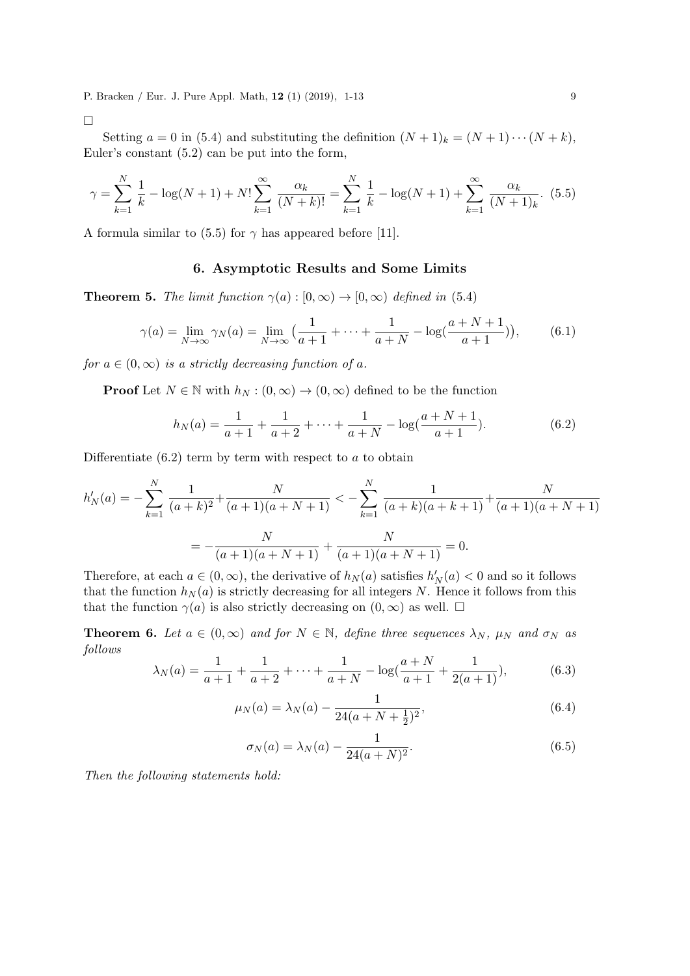$\Box$ 

Setting  $a = 0$  in (5.4) and substituting the definition  $(N + 1)_k = (N + 1) \cdots (N + k)$ , Euler's constant (5.2) can be put into the form,

$$
\gamma = \sum_{k=1}^{N} \frac{1}{k} - \log(N+1) + N! \sum_{k=1}^{\infty} \frac{\alpha_k}{(N+k)!} = \sum_{k=1}^{N} \frac{1}{k} - \log(N+1) + \sum_{k=1}^{\infty} \frac{\alpha_k}{(N+1)_k}.
$$
 (5.5)

A formula similar to (5.5) for  $\gamma$  has appeared before [11].

## 6. Asymptotic Results and Some Limits

**Theorem 5.** The limit function  $\gamma(a): [0, \infty) \to (0, \infty)$  defined in (5.4)

$$
\gamma(a) = \lim_{N \to \infty} \gamma_N(a) = \lim_{N \to \infty} \left( \frac{1}{a+1} + \dots + \frac{1}{a+N} - \log(\frac{a+N+1}{a+1}) \right),\tag{6.1}
$$

for  $a \in (0, \infty)$  is a strictly decreasing function of a.

**Proof** Let  $N \in \mathbb{N}$  with  $h_N : (0, \infty) \to (0, \infty)$  defined to be the function

$$
h_N(a) = \frac{1}{a+1} + \frac{1}{a+2} + \dots + \frac{1}{a+N} - \log(\frac{a+N+1}{a+1}).
$$
 (6.2)

Differentiate  $(6.2)$  term by term with respect to a to obtain

$$
h'_{N}(a) = -\sum_{k=1}^{N} \frac{1}{(a+k)^2} + \frac{N}{(a+1)(a+N+1)} < -\sum_{k=1}^{N} \frac{1}{(a+k)(a+k+1)} + \frac{N}{(a+1)(a+N+1)} = -\frac{N}{(a+1)(a+N+1)} + \frac{N}{(a+1)(a+N+1)} = 0.
$$

Therefore, at each  $a \in (0, \infty)$ , the derivative of  $h_N(a)$  satisfies  $h'_N(a) < 0$  and so it follows that the function  $h_N(a)$  is strictly decreasing for all integers N. Hence it follows from this that the function  $\gamma(a)$  is also strictly decreasing on  $(0, \infty)$  as well.  $\Box$ 

**Theorem 6.** Let  $a \in (0,\infty)$  and for  $N \in \mathbb{N}$ , define three sequences  $\lambda_N$ ,  $\mu_N$  and  $\sigma_N$  as follows

$$
\lambda_N(a) = \frac{1}{a+1} + \frac{1}{a+2} + \dots + \frac{1}{a+N} - \log(\frac{a+N}{a+1} + \frac{1}{2(a+1)}),\tag{6.3}
$$

$$
\mu_N(a) = \lambda_N(a) - \frac{1}{24(a+N+\frac{1}{2})^2},\tag{6.4}
$$

$$
\sigma_N(a) = \lambda_N(a) - \frac{1}{24(a+N)^2}.
$$
\n(6.5)

Then the following statements hold: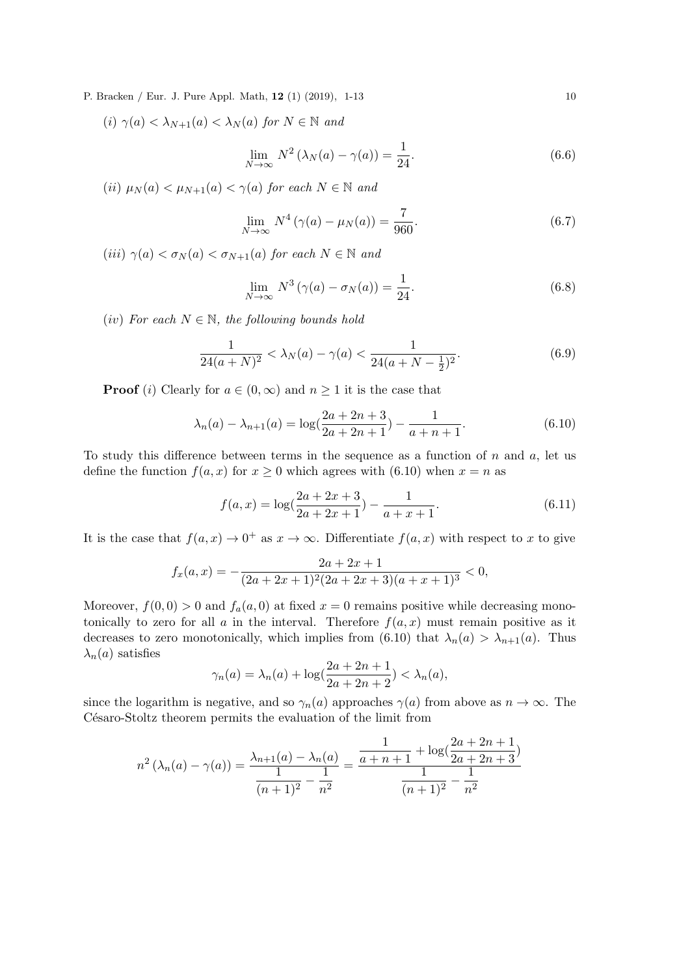(i)  $\gamma(a) < \lambda_{N+1}(a) < \lambda_N(a)$  for  $N \in \mathbb{N}$  and

$$
\lim_{N \to \infty} N^2 \left( \lambda_N(a) - \gamma(a) \right) = \frac{1}{24}.
$$
\n(6.6)

(ii)  $\mu_N(a) < \mu_{N+1}(a) < \gamma(a)$  for each  $N \in \mathbb{N}$  and

$$
\lim_{N \to \infty} N^4 \left( \gamma(a) - \mu_N(a) \right) = \frac{7}{960}.
$$
\n(6.7)

(iii)  $\gamma(a) < \sigma_N(a) < \sigma_{N+1}(a)$  for each  $N \in \mathbb{N}$  and

$$
\lim_{N \to \infty} N^3 \left( \gamma(a) - \sigma_N(a) \right) = \frac{1}{24}.
$$
\n(6.8)

(iv) For each  $N \in \mathbb{N}$ , the following bounds hold

$$
\frac{1}{24(a+N)^2} < \lambda_N(a) - \gamma(a) < \frac{1}{24(a+N-\frac{1}{2})^2}.\tag{6.9}
$$

**Proof** (i) Clearly for  $a \in (0, \infty)$  and  $n \geq 1$  it is the case that

$$
\lambda_n(a) - \lambda_{n+1}(a) = \log(\frac{2a + 2n + 3}{2a + 2n + 1}) - \frac{1}{a + n + 1}.
$$
\n(6.10)

To study this difference between terms in the sequence as a function of  $n$  and  $a$ , let us define the function  $f(a, x)$  for  $x \ge 0$  which agrees with (6.10) when  $x = n$  as

$$
f(a,x) = \log(\frac{2a + 2x + 3}{2a + 2x + 1}) - \frac{1}{a + x + 1}.
$$
 (6.11)

It is the case that  $f(a, x) \to 0^+$  as  $x \to \infty$ . Differentiate  $f(a, x)$  with respect to x to give

$$
f_x(a,x) = -\frac{2a + 2x + 1}{(2a + 2x + 1)^2 (2a + 2x + 3)(a + x + 1)^3} < 0,
$$

Moreover,  $f(0,0) > 0$  and  $f_a(a,0)$  at fixed  $x = 0$  remains positive while decreasing monotonically to zero for all a in the interval. Therefore  $f(a, x)$  must remain positive as it decreases to zero monotonically, which implies from (6.10) that  $\lambda_n(a) > \lambda_{n+1}(a)$ . Thus  $\lambda_n(a)$  satisfies

$$
\gamma_n(a) = \lambda_n(a) + \log(\frac{2a + 2n + 1}{2a + 2n + 2}) < \lambda_n(a),
$$

since the logarithm is negative, and so  $\gamma_n(a)$  approaches  $\gamma(a)$  from above as  $n \to \infty$ . The Césaro-Stoltz theorem permits the evaluation of the limit from

$$
n^{2} (\lambda_{n}(a) - \gamma(a)) = \frac{\lambda_{n+1}(a) - \lambda_{n}(a)}{\frac{1}{(n+1)^{2}} - \frac{1}{n^{2}}} = \frac{\frac{1}{a+n+1} + \log(\frac{2a+2n+1}{2a+2n+3})}{\frac{1}{(n+1)^{2}} - \frac{1}{n^{2}}}
$$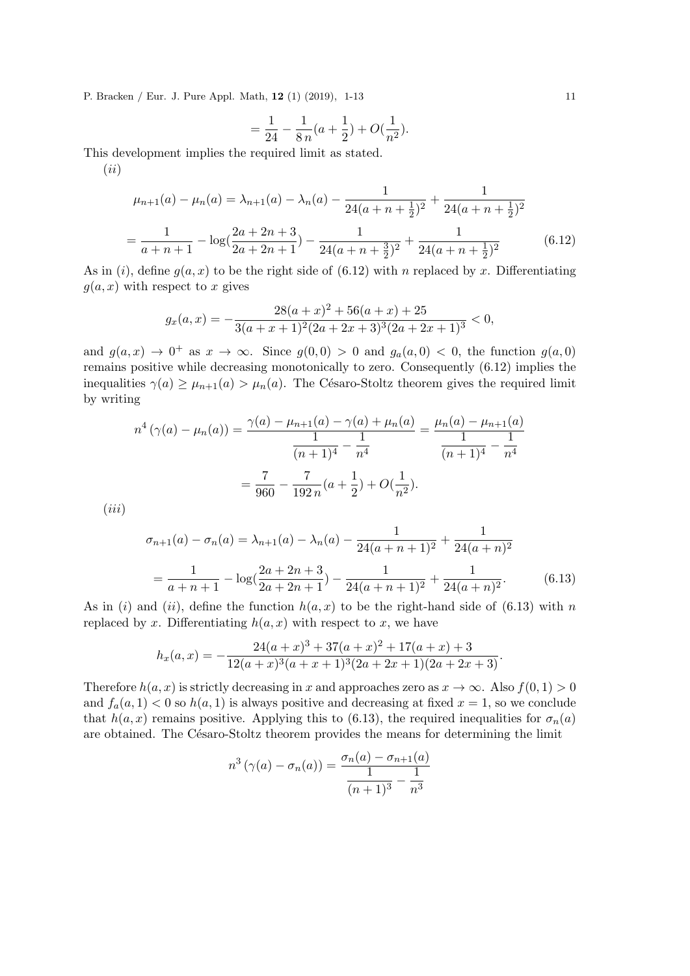$$
= \frac{1}{24} - \frac{1}{8 n} (a + \frac{1}{2}) + O(\frac{1}{n^2}).
$$

This development implies the required limit as stated.

(ii)

$$
\mu_{n+1}(a) - \mu_n(a) = \lambda_{n+1}(a) - \lambda_n(a) - \frac{1}{24(a+n+\frac{1}{2})^2} + \frac{1}{24(a+n+\frac{1}{2})^2}
$$

$$
= \frac{1}{a+n+1} - \log(\frac{2a+2n+3}{2a+2n+1}) - \frac{1}{24(a+n+\frac{3}{2})^2} + \frac{1}{24(a+n+\frac{1}{2})^2}
$$
(6.12)

As in (i), define  $g(a, x)$  to be the right side of (6.12) with n replaced by x. Differentiating  $g(a, x)$  with respect to x gives

$$
g_x(a,x) = -\frac{28(a+x)^2 + 56(a+x) + 25}{3(a+x+1)^2(2a+2x+3)^3(2a+2x+1)^3} < 0,
$$

and  $g(a, x) \rightarrow 0^+$  as  $x \rightarrow \infty$ . Since  $g(0, 0) > 0$  and  $g_a(a, 0) < 0$ , the function  $g(a, 0)$ remains positive while decreasing monotonically to zero. Consequently (6.12) implies the inequalities  $\gamma(a) \geq \mu_{n+1}(a) > \mu_n(a)$ . The Césaro-Stoltz theorem gives the required limit by writing

$$
n^4\left(\gamma(a) - \mu_n(a)\right) = \frac{\gamma(a) - \mu_{n+1}(a) - \gamma(a) + \mu_n(a)}{1 - \frac{1}{(n+1)^4} - \frac{1}{n^4}} = \frac{\mu_n(a) - \mu_{n+1}(a)}{(n+1)^4} - \frac{1}{n^4}
$$

$$
= \frac{7}{960} - \frac{7}{192 n}(a + \frac{1}{2}) + O(\frac{1}{n^2}).
$$

 $(iii)$ 

$$
\sigma_{n+1}(a) - \sigma_n(a) = \lambda_{n+1}(a) - \lambda_n(a) - \frac{1}{24(a+n+1)^2} + \frac{1}{24(a+n)^2}
$$

$$
= \frac{1}{a+n+1} - \log(\frac{2a+2n+3}{2a+2n+1}) - \frac{1}{24(a+n+1)^2} + \frac{1}{24(a+n)^2}.
$$
(6.13)

As in (i) and (ii), define the function  $h(a, x)$  to be the right-hand side of (6.13) with n replaced by x. Differentiating  $h(a, x)$  with respect to x, we have

$$
h_x(a,x) = -\frac{24(a+x)^3 + 37(a+x)^2 + 17(a+x) + 3}{12(a+x)^3(a+x+1)^3(2a+2x+1)(2a+2x+3)}.
$$

Therefore  $h(a, x)$  is strictly decreasing in x and approaches zero as  $x \to \infty$ . Also  $f(0, 1) > 0$ and  $f_a(a, 1) < 0$  so  $h(a, 1)$  is always positive and decreasing at fixed  $x = 1$ , so we conclude that  $h(a, x)$  remains positive. Applying this to (6.13), the required inequalities for  $\sigma_n(a)$ are obtained. The Césaro-Stoltz theorem provides the means for determining the limit

$$
n^{3}(\gamma(a) - \sigma_{n}(a)) = \frac{\sigma_{n}(a) - \sigma_{n+1}(a)}{1 - \frac{1}{(n+1)^{3}} - \frac{1}{n^{3}}}
$$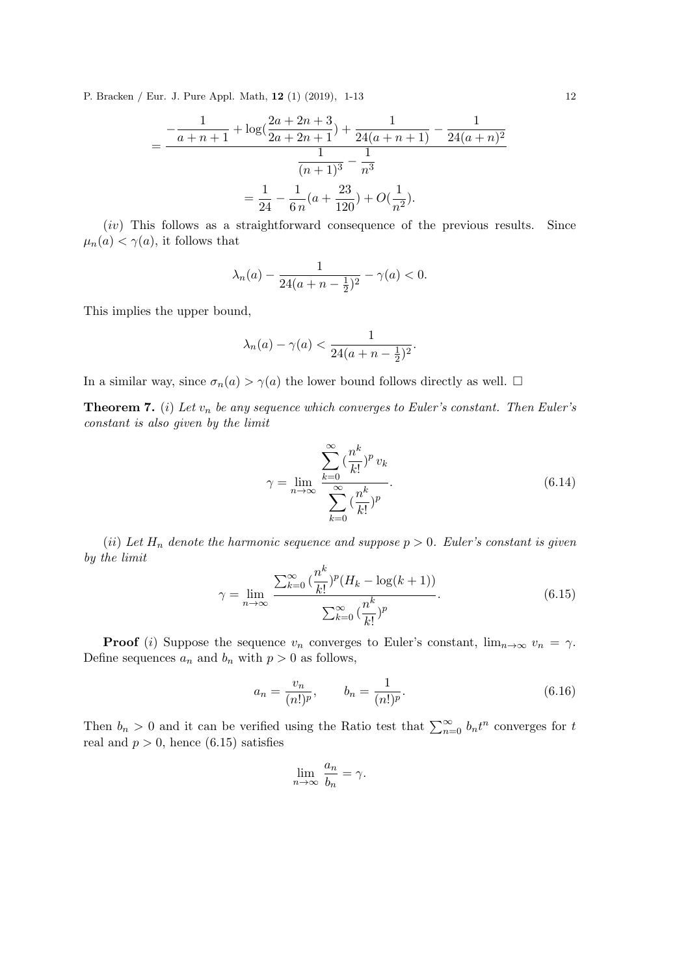$$
= \frac{-\frac{1}{a+n+1} + \log(\frac{2a+2n+3}{2a+2n+1}) + \frac{1}{24(a+n+1)} - \frac{1}{24(a+n)^2}}{\frac{1}{(n+1)^3} - \frac{1}{n^3}}
$$

$$
= \frac{1}{24} - \frac{1}{6n}(a + \frac{23}{120}) + O(\frac{1}{n^2}).
$$

 $(iv)$  This follows as a straightforward consequence of the previous results. Since  $\mu_n(a) < \gamma(a)$ , it follows that

$$
\lambda_n(a) - \frac{1}{24(a+n-\frac{1}{2})^2} - \gamma(a) < 0.
$$

This implies the upper bound,

$$
\lambda_n(a) - \gamma(a) < \frac{1}{24(a+n-\frac{1}{2})^2}.
$$

In a similar way, since  $\sigma_n(a) > \gamma(a)$  the lower bound follows directly as well.  $\Box$ 

**Theorem 7.** (i) Let  $v_n$  be any sequence which converges to Euler's constant. Then Euler's constant is also given by the limit

$$
\gamma = \lim_{n \to \infty} \frac{\sum_{k=0}^{\infty} \left(\frac{n^k}{k!}\right)^p v_k}{\sum_{k=0}^{\infty} \left(\frac{n^k}{k!}\right)^p}.
$$
\n(6.14)

(ii) Let  $H_n$  denote the harmonic sequence and suppose  $p > 0$ . Euler's constant is given by the limit k

$$
\gamma = \lim_{n \to \infty} \frac{\sum_{k=0}^{\infty} \left(\frac{n^k}{k!}\right)^p (H_k - \log(k+1))}{\sum_{k=0}^{\infty} \left(\frac{n^k}{k!}\right)^p}.
$$
(6.15)

**Proof** (i) Suppose the sequence  $v_n$  converges to Euler's constant,  $\lim_{n\to\infty} v_n = \gamma$ . Define sequences  $a_n$  and  $b_n$  with  $p > 0$  as follows,

$$
a_n = \frac{v_n}{(n!)^p}, \qquad b_n = \frac{1}{(n!)^p}.
$$
\n(6.16)

Then  $b_n > 0$  and it can be verified using the Ratio test that  $\sum_{n=0}^{\infty} b_n t^n$  converges for t real and  $p > 0$ , hence (6.15) satisfies

$$
\lim_{n \to \infty} \frac{a_n}{b_n} = \gamma.
$$